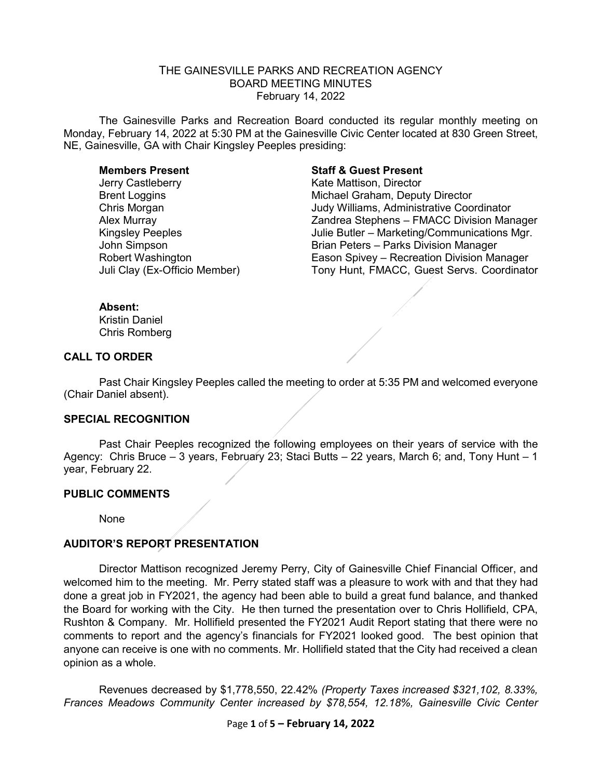# THE GAINESVILLE PARKS AND RECREATION AGENCY BOARD MEETING MINUTES February 14, 2022

The Gainesville Parks and Recreation Board conducted its regular monthly meeting on Monday, February 14, 2022 at 5:30 PM at the Gainesville Civic Center located at 830 Green Street, NE, Gainesville, GA with Chair Kingsley Peeples presiding:

Jerry Castleberry **Exercise Serverse Control** Kate Mattison, Director

### **Members Present Staff & Guest Present**

Brent Loggins Michael Graham, Deputy Director Chris Morgan Judy Williams, Administrative Coordinator Alex Murray Zandrea Stephens – FMACC Division Manager Kingsley Peeples<br>Julie Butler – Marketing/Communications Mgr.<br>John Simpson<br>John Simpson Brian Peters – Parks Division Manager Robert Washington Eason Spivey – Recreation Division Manager Tony Hunt, FMACC, Guest Servs. Coordinator

#### **Absent:**

Kristin Daniel Chris Romberg

### **CALL TO ORDER**

Past Chair Kingsley Peeples called the meeting to order at 5:35 PM and welcomed everyone (Chair Daniel absent).

### **SPECIAL RECOGNITION**

Past Chair Peeples recognized the following employees on their years of service with the Agency: Chris Bruce – 3 years, February 23; Staci Butts – 22 years, March 6; and, Tony Hunt – 1 year, February 22.

### **PUBLIC COMMENTS**

None

### **AUDITOR'S REPORT PRESENTATION**

Director Mattison recognized Jeremy Perry, City of Gainesville Chief Financial Officer, and welcomed him to the meeting. Mr. Perry stated staff was a pleasure to work with and that they had done a great job in FY2021, the agency had been able to build a great fund balance, and thanked the Board for working with the City. He then turned the presentation over to Chris Hollifield, CPA, Rushton & Company. Mr. Hollifield presented the FY2021 Audit Report stating that there were no comments to report and the agency's financials for FY2021 looked good. The best opinion that anyone can receive is one with no comments. Mr. Hollifield stated that the City had received a clean opinion as a whole.

Revenues decreased by \$1,778,550, 22.42% *(Property Taxes increased \$321,102, 8.33%, Frances Meadows Community Center increased by \$78,554, 12.18%, Gainesville Civic Center*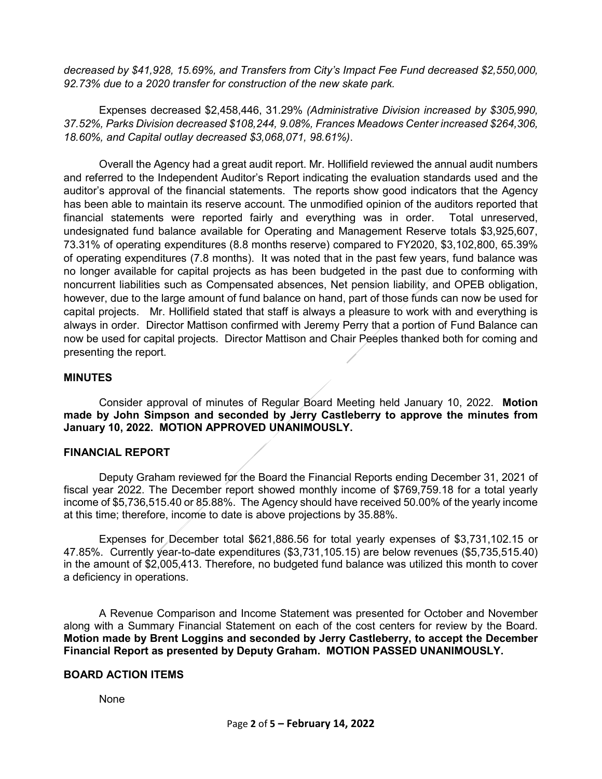*decreased by \$41,928, 15.69%, and Transfers from City's Impact Fee Fund decreased \$2,550,000, 92.73% due to a 2020 transfer for construction of the new skate park.*

Expenses decreased \$2,458,446, 31.29% *(Administrative Division increased by \$305,990, 37.52%, Parks Division decreased \$108,244, 9.08%, Frances Meadows Center increased \$264,306, 18.60%, and Capital outlay decreased \$3,068,071, 98.61%)*.

Overall the Agency had a great audit report. Mr. Hollifield reviewed the annual audit numbers and referred to the Independent Auditor's Report indicating the evaluation standards used and the auditor's approval of the financial statements. The reports show good indicators that the Agency has been able to maintain its reserve account. The unmodified opinion of the auditors reported that financial statements were reported fairly and everything was in order. Total unreserved, undesignated fund balance available for Operating and Management Reserve totals \$3,925,607, 73.31% of operating expenditures (8.8 months reserve) compared to FY2020, \$3,102,800, 65.39% of operating expenditures (7.8 months). It was noted that in the past few years, fund balance was no longer available for capital projects as has been budgeted in the past due to conforming with noncurrent liabilities such as Compensated absences, Net pension liability, and OPEB obligation, however, due to the large amount of fund balance on hand, part of those funds can now be used for capital projects. Mr. Hollifield stated that staff is always a pleasure to work with and everything is always in order. Director Mattison confirmed with Jeremy Perry that a portion of Fund Balance can now be used for capital projects. Director Mattison and Chair Peeples thanked both for coming and presenting the report.

# **MINUTES**

Consider approval of minutes of Regular Board Meeting held January 10, 2022. **Motion made by John Simpson and seconded by Jerry Castleberry to approve the minutes from January 10, 2022. MOTION APPROVED UNANIMOUSLY.**

### **FINANCIAL REPORT**

Deputy Graham reviewed for the Board the Financial Reports ending December 31, 2021 of fiscal year 2022. The December report showed monthly income of \$769,759.18 for a total yearly income of \$5,736,515.40 or 85.88%. The Agency should have received 50.00% of the yearly income at this time; therefore, income to date is above projections by 35.88%.

Expenses for December total \$621,886.56 for total yearly expenses of \$3,731,102.15 or 47.85%. Currently year-to-date expenditures (\$3,731,105.15) are below revenues (\$5,735,515.40) in the amount of \$2,005,413. Therefore, no budgeted fund balance was utilized this month to cover a deficiency in operations.

A Revenue Comparison and Income Statement was presented for October and November along with a Summary Financial Statement on each of the cost centers for review by the Board. **Motion made by Brent Loggins and seconded by Jerry Castleberry, to accept the December Financial Report as presented by Deputy Graham. MOTION PASSED UNANIMOUSLY.** 

### **BOARD ACTION ITEMS**

### None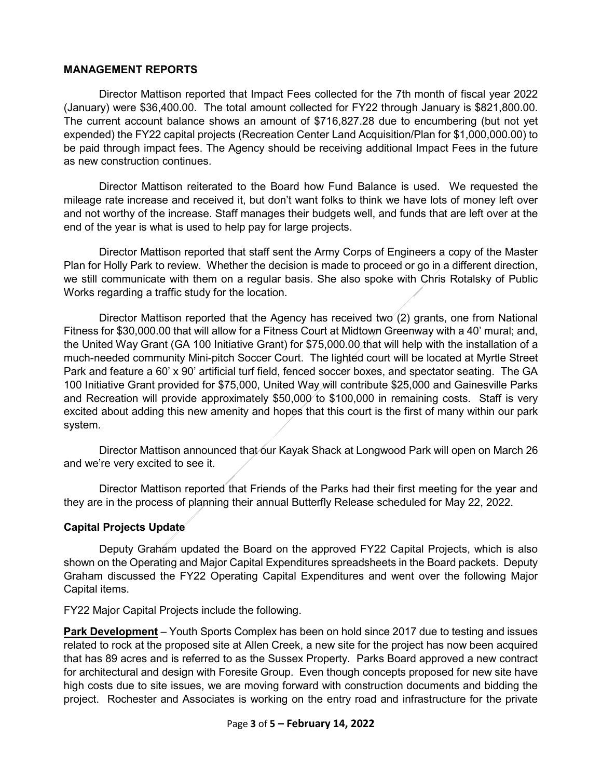# **MANAGEMENT REPORTS**

Director Mattison reported that Impact Fees collected for the 7th month of fiscal year 2022 (January) were \$36,400.00. The total amount collected for FY22 through January is \$821,800.00. The current account balance shows an amount of \$716,827.28 due to encumbering (but not yet expended) the FY22 capital projects (Recreation Center Land Acquisition/Plan for \$1,000,000.00) to be paid through impact fees. The Agency should be receiving additional Impact Fees in the future as new construction continues.

Director Mattison reiterated to the Board how Fund Balance is used. We requested the mileage rate increase and received it, but don't want folks to think we have lots of money left over and not worthy of the increase. Staff manages their budgets well, and funds that are left over at the end of the year is what is used to help pay for large projects.

Director Mattison reported that staff sent the Army Corps of Engineers a copy of the Master Plan for Holly Park to review. Whether the decision is made to proceed or go in a different direction, we still communicate with them on a regular basis. She also spoke with Chris Rotalsky of Public Works regarding a traffic study for the location.

Director Mattison reported that the Agency has received two (2) grants, one from National Fitness for \$30,000.00 that will allow for a Fitness Court at Midtown Greenway with a 40' mural; and, the United Way Grant (GA 100 Initiative Grant) for \$75,000.00 that will help with the installation of a much-needed community Mini-pitch Soccer Court. The lighted court will be located at Myrtle Street Park and feature a 60' x 90' artificial turf field, fenced soccer boxes, and spectator seating. The GA 100 Initiative Grant provided for \$75,000, United Way will contribute \$25,000 and Gainesville Parks and Recreation will provide approximately \$50,000 to \$100,000 in remaining costs. Staff is very excited about adding this new amenity and hopes that this court is the first of many within our park system.

Director Mattison announced that our Kayak Shack at Longwood Park will open on March 26 and we're very excited to see it.

Director Mattison reported that Friends of the Parks had their first meeting for the year and they are in the process of planning their annual Butterfly Release scheduled for May 22, 2022.

### **Capital Projects Update**

Deputy Graham updated the Board on the approved FY22 Capital Projects, which is also shown on the Operating and Major Capital Expenditures spreadsheets in the Board packets. Deputy Graham discussed the FY22 Operating Capital Expenditures and went over the following Major Capital items.

FY22 Major Capital Projects include the following.

**Park Development** – Youth Sports Complex has been on hold since 2017 due to testing and issues related to rock at the proposed site at Allen Creek, a new site for the project has now been acquired that has 89 acres and is referred to as the Sussex Property. Parks Board approved a new contract for architectural and design with Foresite Group. Even though concepts proposed for new site have high costs due to site issues, we are moving forward with construction documents and bidding the project. Rochester and Associates is working on the entry road and infrastructure for the private

### Page **3** of **5 – February 14, 2022**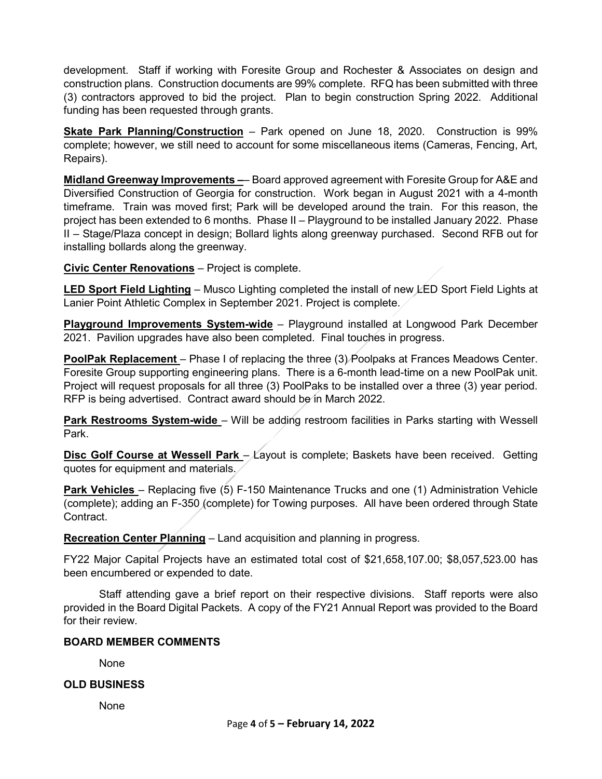development. Staff if working with Foresite Group and Rochester & Associates on design and construction plans. Construction documents are 99% complete. RFQ has been submitted with three (3) contractors approved to bid the project. Plan to begin construction Spring 2022. Additional funding has been requested through grants.

**Skate Park Planning/Construction** – Park opened on June 18, 2020. Construction is 99% complete; however, we still need to account for some miscellaneous items (Cameras, Fencing, Art, Repairs).

**Midland Greenway Improvements –**– Board approved agreement with Foresite Group for A&E and Diversified Construction of Georgia for construction. Work began in August 2021 with a 4-month timeframe. Train was moved first; Park will be developed around the train. For this reason, the project has been extended to 6 months. Phase II – Playground to be installed January 2022. Phase II – Stage/Plaza concept in design; Bollard lights along greenway purchased. Second RFB out for installing bollards along the greenway.

**Civic Center Renovations** – Project is complete.

**LED Sport Field Lighting** – Musco Lighting completed the install of new LED Sport Field Lights at Lanier Point Athletic Complex in September 2021. Project is complete.

**Playground Improvements System-wide** – Playground installed at Longwood Park December 2021. Pavilion upgrades have also been completed. Final touches in progress.

**PoolPak Replacement** – Phase I of replacing the three (3) Poolpaks at Frances Meadows Center. Foresite Group supporting engineering plans. There is a 6-month lead-time on a new PoolPak unit. Project will request proposals for all three (3) PoolPaks to be installed over a three (3) year period. RFP is being advertised. Contract award should be in March 2022.

**Park Restrooms System-wide** – Will be adding restroom facilities in Parks starting with Wessell Park.

**Disc Golf Course at Wessell Park** – Layout is complete; Baskets have been received. Getting quotes for equipment and materials.

**Park Vehicles** – Replacing five (5) F-150 Maintenance Trucks and one (1) Administration Vehicle (complete); adding an F-350 (complete) for Towing purposes. All have been ordered through State Contract.

**Recreation Center Planning** – Land acquisition and planning in progress.

FY22 Major Capital Projects have an estimated total cost of \$21,658,107.00; \$8,057,523.00 has been encumbered or expended to date.

Staff attending gave a brief report on their respective divisions. Staff reports were also provided in the Board Digital Packets. A copy of the FY21 Annual Report was provided to the Board for their review.

# **BOARD MEMBER COMMENTS**

None

# **OLD BUSINESS**

None